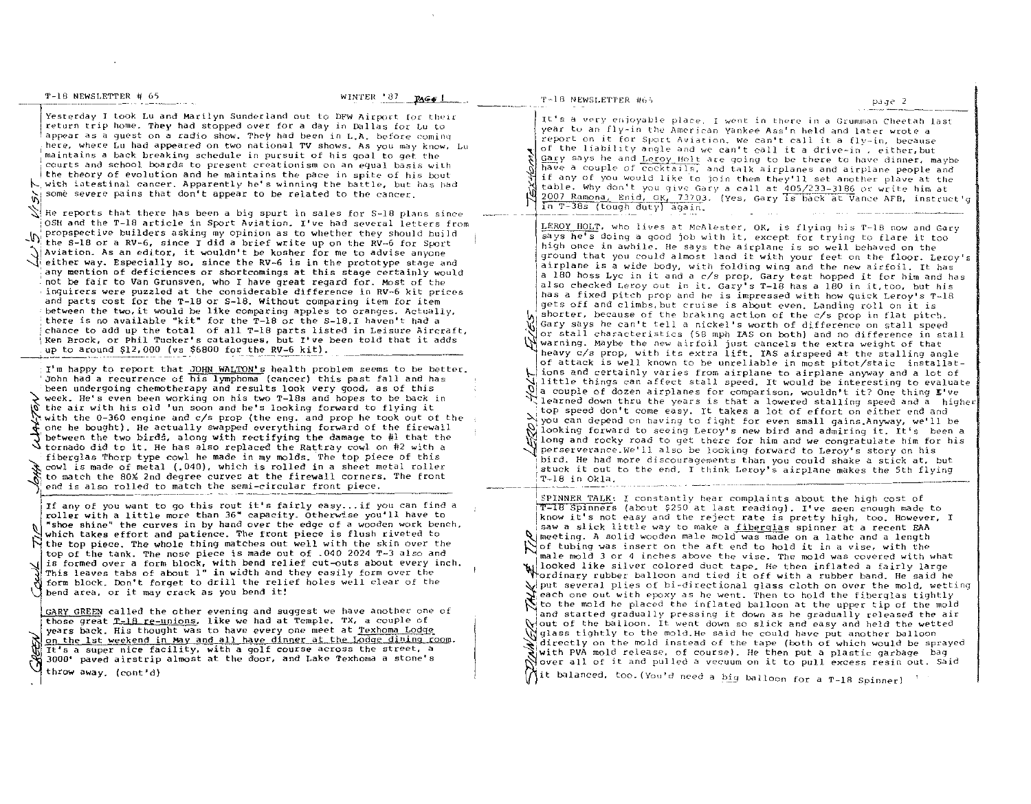$T-18$  NEWSLETTER # 65  $\overline{V}$  WINTER '87  $\overline{p_{AGS}}$ 

Yesterday I took Lu and Marilyn Sunderland out to DFW Airport for their<br>return trip home. They had stopped over for a day in Dallas for Lu to<br>appear as a guest on a radio show. They had been in L.A. before coming Yesterday I took Lu and Marilyn Sunderland out to DFW Airport for their<br>return trip home. They had stopped over for a day in Dallas for Lu to here, where Lu had appeared on two national TV shows. As you may know, Lu : maintains a back breakinq schedule in pursuit of his goal to get the courts and school boards to present creationism on an equal basis with I the theory of evolution and he maintains the pace in spite of his bout  $\sim$ , with intestinal cancer. Apparently he's winning the battle, but has had Si some severe pains that don't appear to be related to the cancer.

 $\mathbb{R}$  He reports that there has been a big spurt in sales for S-18 plans since iOSH and the T-lB article in Sport Alliation. *I've* had several letters from propspective builders asking my opinion as to whether they should build<br>the 8-18 or a RV-6, since I did a brief write up on the RV-6 for Sport ~IAviation. As an editor, it wouldn't be kosher for me to advise anyone "'1; either way. Especially so, since the RV-6 is in the prototype stage and dieither way. Especially so, since the RV-6 is in the prototype stage and any mention of deficiences or shortcomings at this stage certainly would not be fair to Van Grunsven, who I have great regard for. Most of the inquirers were puzzled at *the* considerable difference in RV-6 kit prices and parts cost for the T-l8 or S-18. without comparing item for item between the two, it would be like comparing apples to oranges. Actually, there is no available "kit" for the T-18 or the S-18. I haven't had a chance to add up the total of all T-18 parts listed in Leisure Aircraft, ',Ken Brock, or phil Tucker's catalogues, but I'lle been told that it adds up to around \$12,000 *(vs \$6800 for the RV-6 kit)*.

I'm happy to report that JOHN WALTON's health problem seems to be better. 'John had a recurrence of his lymphoma (cancer) this past fall and has been undergoing chemotherapy and results look very good, as of this ~ week. He's even been working on his two T-18s and hopes to be back in the air with his old 'un soon and he's looking forward to flying it <sup>~</sup>with the 0-360 engine and *cis* prop (the eng. and prop he took out of the one he bought). He actually swapped everything forward of the firewall 'between the two birds, along with rectifying the damage to #1 that the tornado did to it. He has also replaced the Rattray cowl on #2 with a fiberglas Thorp type cowl he made in my molds. The top piece of this ~ cowl is made of metal (.D40), which is rolled in a sheet metal roller to match the 80% 2nd degree curves at the firewall corners. The front end is also rolled to match the semi-circular front piece.

If any of you want to go this rout it's fairly easy... if you can find a roller with a little more than 36" capacity\_ Otherwise you'll have to "shoe shine" the curves in by hand over the edge of a wooden work bench, which takes effort and patience. The front piece is flush riveted to the top piece. The whole thing matches out well with the skin over the top of the tank. The nose piece is made out of .040 2024 T-3 also and is formed over a form block, with bend relief cut-outs about every inch. This leaVes tabs of about 1" in width and they easily form over the form block. Don't forget to drill the relief holes well clear of the bend area, or it may crack as you bend it!

GARY GREEN called the other evening and suggest we have another one of<br>those great T-18 re-unions, like we had at Temple, TX, a couple of Those great T-1A re-unions, like we had at Temple. TX, a couple of years back. His thought was to have every one meet at <u>Texhoma Lodge</u> of the same nice facility, with a golf course across the street, with a golf course years back. His thought was to have every one meet at Texhoma Lodge on the 1st weekend in May and all have dinner at the Lodge dining room. on the ist weekend in may and diffinabe dimier at the bodge diminal.<br>It's a super nice facility, with a golf course across the street, a 3000' paved airstrip almost at the door, and Lake Texhoma a stone's throw away. (cont'd)

 $T-18$  NEWSLETTER #65  $p_{d,q}e^{-2}$ 

~~----+-

It's a very enjoyable place. I went in there in a Grumman Cheetah last year to an fly-in the American yankee Ass'n held and later wrote a report on it for Sport Avidtion. We can't call it a fly-in, because of the liability angle and we can't call it a drive-in, either, but Gary says he and Leroy Holt are going to be there to have dinner, maybe have a couple of cocktails, and talk airplanes and airplane people and if any of you would like to join them they'll set another plave at the table. Why don't you give Gary a call at 405/233-3186 or write him at 2007 Ramona, Enid, OK, 73703. (Yes, Gary is back at Vance AFB, instruct'g  $in$   $T-30s$  (tough duty) again.

LEROY HOLT, who lives at McAlester, OK, is flying his T-18 now and Gary says he's doing a good job with it, except for trying to flare it too high once in awhile. He says the airplane is so well behaved on the ground that you could almost land it with your feet on the floor. Leroy's i airplane is a wide body, with folding wing and the new airfoil. It has a 180 hoss Lye in it and a *c/s* prop. Gary test hopped it tor him and has also checked Leroy out in it. Gary's T-18 has a 180 in it, too, but his has a fixed pitch prop and he is impressed with how quick Leroy's T-18 gets off and climbs, but cruise is about even. Landing roll on it is shorter, because of the braking action of the c/s prop in flat pitch. Gary says he can't tell a nickel's worth of difference on stall speed or stall characteristics (58 mph IAS on both) and no difference in stall warning. Maybe the new airfoil just cancels the extra weight of that heavy c/s prop, with its extra lift. IAS airspeed at the stalling angle of attack is well known to be unreliable in most pitot/staic installat-<br>ions and certainly varies from airplane to airplane anyway and a lot of  $\Delta_i$  little things can affect stall speed. It would be interesting to evaluate  $\mathcal{Q}$  a couple of dozen airplanes for comparison, wouldn't it? One thing  $\mathbf{r}$ 've  $\%$  learned down thru the years is that a lowered stalling speed and a higher : top speed don't come easy. It takes a lot of effort on either end and  $\stackrel{\text{\tiny{1}}}{\sim}$ you can depend on having to fight for even small gains.Anyway, we'll be<br>§looking forward to seeing Leroy's new bird and admiring it. It's been a<br>§long and rocky road to get there for him and we congratulate perserverance We'll also be looking forward to Leroy's story on his ! bird. He had more discouragements than you could shake a stick at, but stuck it out to the end. I think Leroy's airplane makes the 5th flying <sup>I</sup>T-18 1n Okla.

: SPINNER TALK: I constantly hear complaints about the high cost of IT-18 Spinners (about \$250 at last reading). I've seen enough made to Iknow it's not easy and the reject rate is pretty high, too. However, I saw a slick little way to make a fiberglas spinner at a recent EAA  $Q$  meeting. A solid wooden male mold was made on a lathe and a length of tubing was insert on the aft end to hold it in a vise, with the male mold 3 or 4 inches *above* the *vise.* The mold was covered with what looked like silver colored duct tape. He then inflated a fairly large Mordinary rubber balloon and tied it off with a rubber band. He said he Iput several plies of bi-directional glass cloth on over the mold, wetting each one out with epoxy as he went. Then to hold the fiberglas tightly  $\bar{\bm{\nabla}}$  to the mold he placed the inflated balloon at the upper tip of the mold and started gradually pressing it down as he gradually released the air ~lout of the balloon. It went down so slick and easy and held the wetted Wellass tightly to the mold. He said he could have put another balloon directly on the mold instead of the tape (both of which would be sprayed with PVA mold release. of course). He then put a plastic garbage bag  $\small \texttt{Sover all of it and pulled a vacuum on it to pull excess resin out. Said}$ 

 $\overline{\text{1}}$ t balanced, too. (You'd need a big balloon for a T-18 Spinner)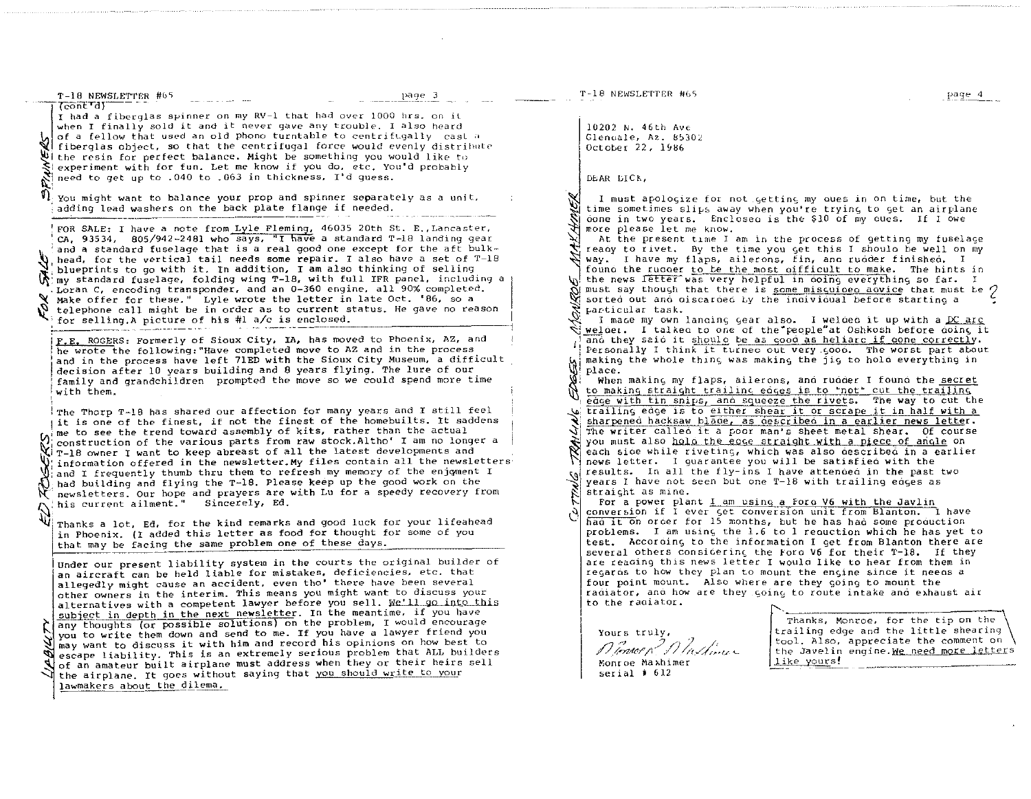$T-18$  NEWSLETTER #65<br>(contTd)

 $\frac{1}{2}$ 

1 had a fiberglas spinner on my RV-1 that had over 1000 hrs. on it when I finally sold it and it never gave any trouble. I also heard of a fellow that used an old phono turntable to centrifLgally cast a fiberglas object, so that the centrifugal force would evenly distribute Withe resin for perfect balance. Might be something you would like to ~: experiment with for fun. Let me know if yOU do, *etc.* You'd probably  $\Delta$  need to get up to .040 to .063 in thickness, I'd guess.

 $\mathbf{V}_1$  You might want to balance your prop and spinner separately as a unit, adding lead washers on the back plate flange if needed.

FOR SALE: I have a note from Lyle Fleming, 46035 20th St. E., Lancaster,  $CA$ , 93534, 805/942-2481 who says, "I have a standard T-18 landing gear and a standard fuselage that is a real good one except for the aft bulkhead, for the vertical tail needs some repair. I also have a set of  $T-18$ blueprints to go with it. In addition, I am also thinking of selling \.I): my standard fuselage, folding wing T-18, with full IFR panel, including a , Loran C, encoding transponder, and an 0-360 engine, all 90% completed. Make offer for these." Lyle wrote the letter in late Oct. '86, so a telephone call might be in order as to current status. He gave no reason for selling.A picture of his #1  $a/c$  is enclosed.

i F.E. ROGERS: Formerly of sioux City, lA, has moved to Phoenix, AZ, and he wrote the following: "Have completed move to AZ and in the process and in the process have left 71ED with the Sioux City Museum, a difficult decision after 10 years building and 8 years flying. *The* lure of our with them. , family and grandchildren prompted the move so we could spend more time

lThe Thorp T-IB has shared our affection for many years and I still feel Iit is one of the finest, if not the finest of the homebuilts. It saddens me to see the trend toward assembly of kits, rather than the actual construction of the various parts from raw stock. Altho' I am no longer a  $_{\rm N}$  construction of the various poses for all the latest developments and . : information offered in the newsletter. My files contain all the newsletters' and I frequently thumb thru them to refresh my memory of the enjoment I , had building and flying the T-18. Please keep up the good work on the newsletters. Our hope and prayers are with Lu for a speedy recovery from<br>his current ailment." Sincerely, Ed. his current ailment."

Thanks a lot, Ed, for the kind remarks and good luck for your lifeahead in Phoenix. (I added this letter as food for thought for some of you that may be facing the same problem one of these days.

Under our present liability system in the courts the original builder of an aircraft can be held liable for mistakes. deficiencies, etc. that allegedly might cause an accident. even tho' there have been several other owners in the interim. This means you might want to discuss your alternatives with a competent lawyer before you sell. We'll go into this subject in depth in the next newsletter. In the meantime, if you have any thoughts (or possible solutions) on the problem, I would encourage you to write them down and send to me. If you have a lawyer friend you W may want to discuss it with him and record his opinions on how best to<br>W escape liability, This is an extremely serious problem that ALL builder escape liability. This is an extremely serious problem that ALL builders of an amateur built airplane must address when they or their heirs sell the airplane. It goes without saying that you should write to your lawmakers about the dilema.

T-18 NEWSLETTER #65

10202 N. 46th AVE Glenoale, Az. 85302 October 22, 1986

DE-AR LICh,

I must apologize for not getting my oues in on time, but the time sometimes slips away when you're trying to get an airplane<br>cone in two years. Enclosed is the \$10 of my ques. If I owe oone in two years. Enclosed is the \$10 of my oues. If I owe more please let me know.<br>The present time I am in the process of getting my fuselage<br> $\mathbf{\hat{x}}$  ready to rivet. By the time you get this I should be well on my more please let me know.

ready to rivet. By the time you get this I should be well on my<br>way. I have my flaps, ailerons, fin, and rudder finished. I found the rugger to be the most difficult to make. The hints in

the news Ietter was very helpful in ooing everything so far. I must say though that there is some misquiced advice that must be  $\gamma$  $\breve{\mathbf{X}}$  sorted out and oiscarded by the individual before starting a particular task. where out and oiscarded by the individual before starting a<br> $\sum_{n=1}^{\infty}$  random landing gear also. I welded it up with a DC arc<br>with a component of the starting search of the starting and the starting and the starting s

weloel. I talked to one of the people at Oshkosh before doing it and they said it should be as cood as heliarc if cone correctly. Personally I think it turned out very good. The worst part about making the whole thing was making the jig to hold everything in place.

When making my flaps, ailerons, and rudder I found the secret to making straight trailing eages is to "not" cut the trailing<br>eage with tin snips, and squeeze the rivets. The way to cut the <sup>~</sup>trailins ease is to either shear it or scrape it in half with a sharpened hacksaw blace, as described in a earlier news letter.

The writer called it a poor man's sheet metal shear. Of course you must also hold the egge straight with a piece of angle on each sice while riveting, which was also described in a earlier

- news letter. I guarantee you will be satisfied with the
- results. In all the fly-ins I have attenoed in the past two

years I have not seen but one  $T-18$  with trailing edges as straicht as mine.

For a power plant I am using a foro V6 with the Javlin

conversion if I ever set conversion unit from Blanton. I have had it on order for 15 months, but he has had some production problems. I am using the 1.6 to 1 reduction which he has yet to test. Accoroins to the information I get from Blanton there are several others considering the foro V6 for their T-18. If they are reading this news letter I would like to hear from them in regaros to how they plan to mount the engine since it needs a four point mount. Also where are they going to mount the radiator, and how are they coinc to route intake and exhaust air to the raoiator.

Yours truly, *;7* /72< /,""7Z {1/' /l ·?~7J~/, ." /r'(-,/;(".,u <- Monroe Ma~himer serial  $\pm$  612

Thanks, Monroe. for the tip on the trailing edge and the little shearing tool. Also, appreciate the comment on the Javelin engine.we need mgre letters like yours!

page 4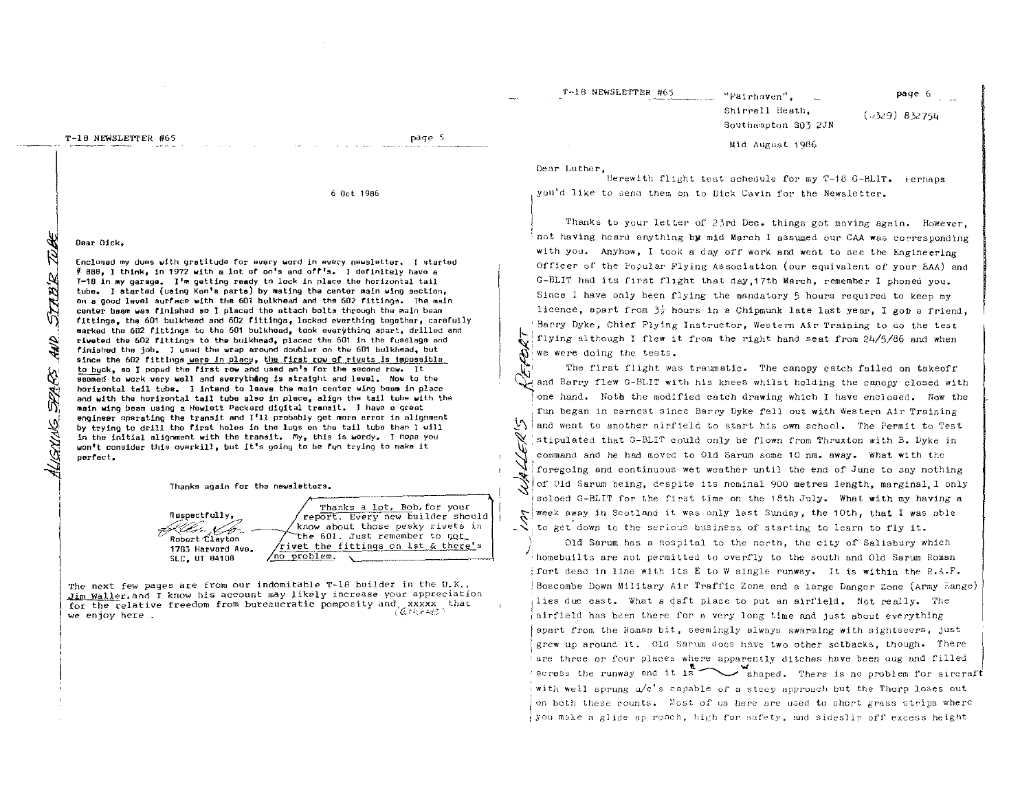---.. -~-"

6 Oct i986

Dear Dick,

 $\frac{1}{2}$ 

 $\mathcal{A}$ (Q: ~  $\mathbf{U}$  $\mathcal{Z}^+$ 

 $-\frac{A}{c}$ Enclosed my dues with gratitude for every word in every newsletter. I started  $\frac{d}{dx}$  B8B, I think, in 1972 with a lot of on's and off's. I definitely have a T-18 in my garage. I'm getting ready to lock in place the horizontal tail tube. I started (using Ken's parts) by mating the center main wing section, on a good level surface with the 601 bulkhead and the 602 fittings. The main conter beam was finished so I placed the attach bolts through the main beam fittings, the 601 bulkhead and 602 fittings, locked everthing together, carefully marked the 602 fittings to the 601 bulkhead, took everything apart, drilled and rivetad the 602 fittings to the bulkhead, placed the 601 in the fuselage and finished the job. J used the wrap around doubler on the 601 bulkhead, but since the 602 fittings were in place, the first row of rivets is impossible to buck, 80 1 poped the first row and used an'e for the eecond row. It seemed to work very well and everything is straight and level. Now to the horizontal tail tube. I intend to leave the main center wing beam in place and with the horizontal tail tube also in place, align the tail tube with the main wing beam using a Hewlett Packard digital traneit. I have a great engineer operating the transit and  $I^t11$  probably get more error in alignment by trying to drill tha first holes in the lugs on the tail tubo than I will in the initial alignment with the transit. My, this is wordy. I hope you won't consider this overkill, but it's going to be Fun trying to make it perfect.

Thanks again for the newsletters.

Respectfully,  $\sqrt{\frac{\text{Thanks a lot. Bob}}{\text{report. Every new builder should}}$ ~know about those pesky rivets in "the 601. Just remember to not  $\sqrt{\frac{\text{rivet the fitting on 1st & there.s}}{\text{no problem.}}}$ 4/:C:.. <u>(</u>26 Robert Clayton 17B3 Harvard Ave. SLC, UT 84108

The next few pages are from our indomitable T-18 builder in *the* U.K., Jim Waller, and I know his account may likely increase your appreciation for the relative freedom from bureaucratic pomposity and xxxxx that we enjoy here.

 $T-18$  NEWSLETTER #65 "Pairhsven",  $\qquad$  , page 6

Shirrell Heath. Southampton S03 2JN (,J,329) 8.)2754

Mid August 1986

Dear Luther.

Herewith flight test schedule for my T-18 G-BLIT. Ferhaps you'd like to sena them on to Dick Cavin for the Newsletter.

I Thanks to your letter of 23rd Dec. things got moving again. However,  $^{\sharp}$  not having heard anything by mid March I assumed our CAA was corresponding with you. Anyhow, I took a day off work and went to see the Engineering Officer of the Popular Flying Association (our equivalent of your EAA) and G-BLIT had its first flight that day, 17th March, remember I phoned you. Since I have only been flying the mandatory 5 hours required to keep my licence, apart from  $\mathfrak{Z}_2^{\perp}$  hours in a Chipmunk late last year, I got a friend, 'Barry Dyke, Chief Flying Instructor, Western Air Training to do the test flying although I flew it from the right hand seat from  $24/5/86$  and when we were doing the tests.

The first flight was traumatic. The canopy catch failed on takeoff and Barry flew G-BLIT with his knees whilst holding the canopy closed with one hand. Nota the modified catch drawing which I have enclosed. Now the fun began in earnest since Barry Dyke fell out with Western Air Training and went to another airfield to start his own school. The Permit to Test stipulated that G-BLIT could only be flown from Thruxton with B. Dyke in command and he had moved to Old Sarum some 10 nm. away. What with the foregoing and continuous wet weather until the end of June to say nothing of Old Sarum being, despite its nominal 900 metres length, marginal, I only soloed G-BLIT for the first time on the 18th July. What with my having a week away in Scotland it was only last Sunday, the 10th, that I was able to get down to the serious business of starting to learn to fly it.

Old Sarum has a hospital to the north, the city of Salisbury which *I* homebuilts are not permitted to overfly to the south and Old Sarum Roman : fort den.1 in line with its E to *VI* sjngle runway. It is within the R.A.F. ! Boscombe Down Military Air Traffic Zone and a large Danger Zone (Army Sange) lies due east. What a daft place to put an airfield. Not really. The  $\frac{1}{1}$ airfield has been there for a very long time and just about everything apart from the Roman bit, seemingly always swarming with sightseers, just grew up around it. Old Sarum does have two other setbacks, though. There grew up around it. Old sartum obes nave two other setbacks, though. There<br>are three or four places where apparently ditches have been oug and filled<br>across the runway and it is shaped. There is no problem for aircraft with well sprung  $u/c'$ s capable of a steep approach but the Thorp loses out on both these counts. Most of us here are used to short grass strips where you make a glide ap roach, high for safety, and sideslip off excess height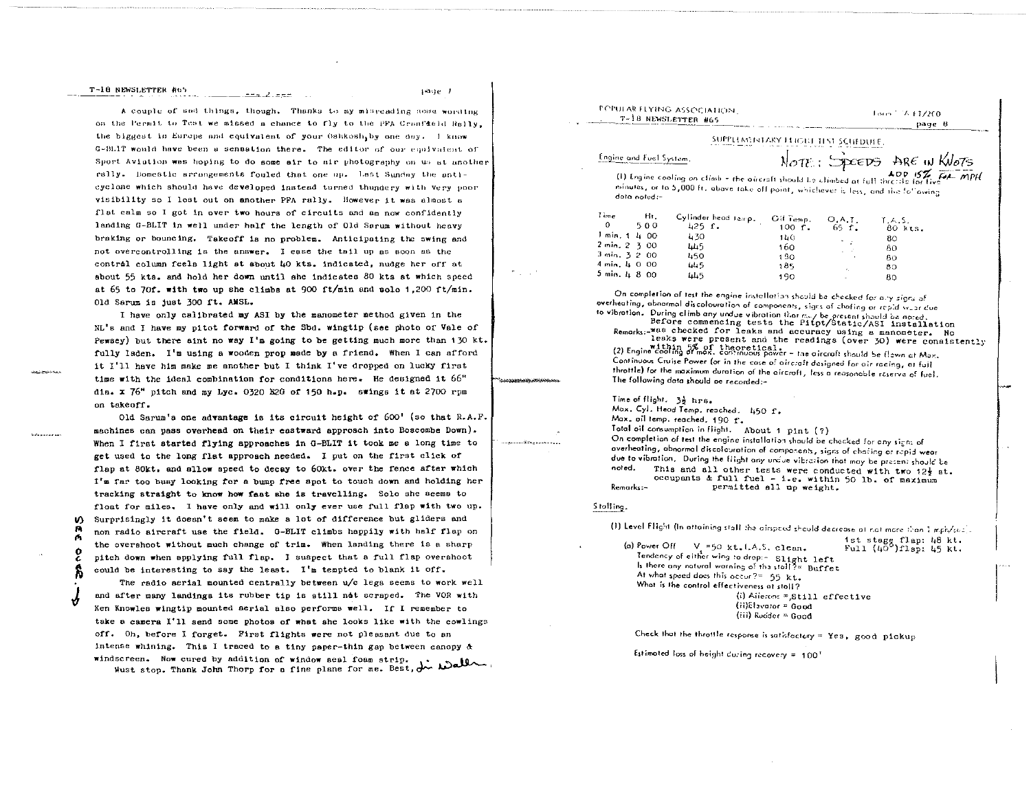#### T-18 NEWSLETTER #65

saue J

A couple of sud things, though, Thanks to my misreading some wording on the Permit to Tast we missed a chance to fly to the PFA Cronfeeld Rally. the biggest in Europe and equivalent of your Gahkosh, by one day. I know G-BLIT would have been a sensation there. The editor of our equivalent of Sport Aviation was hoping to do some air to air photography on us at another rally. Domestic arrangements fouled that one up. Last Sunday the anticyclone which should have developed instead turned thundery with very poor visibility so I lost out on another PFA rally. However it was almost a flat calm so I got in over two hours of circuits and am now confidently landing G-BLIT in well under half the length of Old Sarum without heavy braking or bouncing. Takeoff is no problem. Anticipating the swing and not overcontrolling is the answer. I ease the tail up as soon as the contral column feels light at about 40 kts. indicated, nudge her off at about 55 kts. and hold her down until she indicates 80 kts at which speed at 65 to 70f. with two up she climbs at 900 ft/min and molo 1,200 ft/min. Old Sarum is just 300 ft. AMSL.

المعرض الكالمحصل

I have only calibrated my ASI by the manometer method given in the NL's and I have my pitot forward of the Sbd. wingtip (see photo of Vale of Pewsey) but there aint no way I'm going to be getting much more than 130 kt. fully laden. I'm using a wooden prop made by a friend. When I can afford it I'll have him make me another but I think I've dropped on lucky first time with the ideal combination for conditions here. He designed it 66" dia.  $x$  76" pitch and my Lyc. 0320 E2G of 150 h.p. swings it at 2700 rpm on takeoff.

Old Sarum's one advantage is its circuit height of 600' (so that R.A.F. machines can pass overhead on their eastward approach into Boscombe Down). When I first atarted flying approaches in G-BLIT it took me a long time to get used to the long flat approach needed. I put on the first click of flap at 80kt. and allow speed to decay to 60kt. over the fence after which I'm far too busy looking for a bump free spot to touch down and holding her tracking straight to know how fast she is travelling. Solo she seems to float for miles. I have only and will only ever use full flap with two up. Surprisingly it doesn't seem to make a lot of difference but gliders and non radio aircraft use the field. G-BLIT climbs happily with half flap on the overshoot without much change of trim. When landing there is a sharp pitch down when applying full flap. I suspect that a full flap overshoot could be interesting to say the least. I'm tempted to blank it off.

The radio aerial mounted centrally between u/c legs seems to work well and after many landings its rubber tip is still not scraped. The VOR with Ken Knowles wingtip mounted serial also performs well. If I remember to take a camera I'll send some photos of what she looks like with the cowlings off. Oh, before I forget. First flights were not pleasant due to an intense whining. This I traced to a tiny paper-thin gap between canopy & windscreen. Now cured by addition of window seal foam strip.

Hust stop. Thank John Thorp for a fine plane for me. Best, di Wall

#### POPULAR FLYING ASSOCIATION  $1005^{+2}$   $\lambda$  ET/200 T-18 NEWSLETTER #65 page 8 SUPPLEMENTARY FEIGHT TIST SCHEDULE, **Engine and Fuel System.**  $SDEED9$  ARE IN KNOTS  $400,52,701$ (1) Engine cooling on climb - the aircraft should be climbed at full threttle for the minutes, or to 5,000 ft, above take off point, whichever is less, and the following data noted:-Time Ht. Cylinder head temp. Oil Temp.  $T.A. O$  $I.A.S.$  $\Omega$ 500  $1,25$  f.  $100$   $\Gamma$ . 65 f. 80 kts.  $1 min. 1 k.00$ 430 140 80.  $2 \text{ min. } 2 \cdot 3 \cdot 00$ 445 160 80 3 min. 3 2 00 450  $130$ 80  $4 min. 4000$  $145$ 185 CB  $5 \text{ min. } 4 \text{ } 8 \text{ } 00$ 445

190

 $AD$ 

On completion of test the engine instellation should be checked for any signs of overheating, abnarmal discolouration of components, signs of chafing or repid vecar due

to vibration. During climb any undue vibration that may be present should be noted.<br>Before commencing tests the Pitpt/Static/ASI installation Remarks: Was checked for leaks and accuracy using a manometer. No leaks were present and the readings (over 30) were consistently (2) Engine cooling of mex. continuous power - the oircraft should be flown at Max. Continuous Cruise Power (or in the case of aircraft designed for air racing, at full throttle) for the maximum duration of the circroft, less a reasonable reserve of fuel. The following data should be recorded:-

Time of flight. 32 hrs. Max. Cyl. Head Temp. reached. 450 f. Max. oil temp. reached. 190 f. Total oil consumption in flight. About 1 pint (?) On completion of test the engine installation should be chocked for any signs of overheating, abnormal discolauration of components, signs of chating at rapid wear due to vibration. During the flight any undue vibration that may be present should be noted. This and all other tests were conducted with two 12} st. occupants & full fuel - i.e. within 50 lb. of maximum permitted all up weight. Remarks:-

## Stalling.

mana a an an Albanya an an an an an a

(1) Level Flight (in ottaining stall the airspeed should decrease at not more than I mph/sup). ist stagg flap: 48 kt. (a) Power Off  $V = 50$  kt. I.A.S. clean. Full (40")flap: 45 kt. Tendency of either wing to drop: Slight left Is there any natural worning of the stall?= Buffet At what speed does this occur?= 55 kt. What is the control effectiveness at stall? (i) Allerons = Still effective

(ii)Elevator = Good (iii) Rudder = Good

Check that the throttle response is satisfactory = Yes, good pickup

Estimated loss of height during recovery = 100\*

o

v.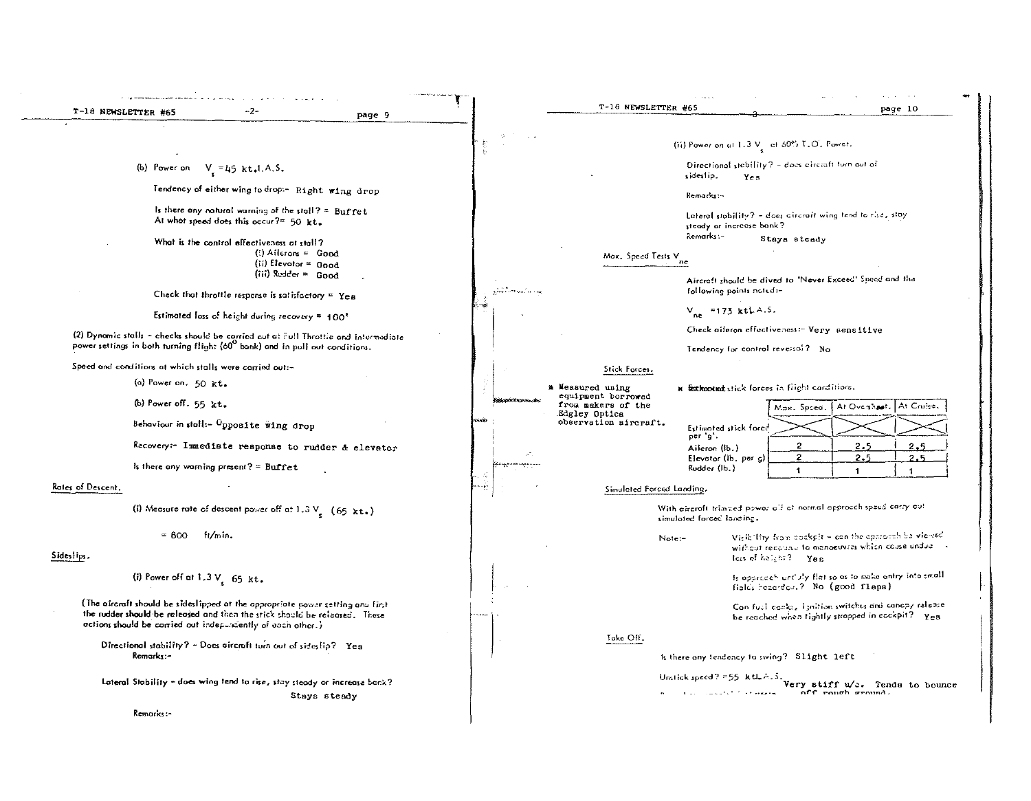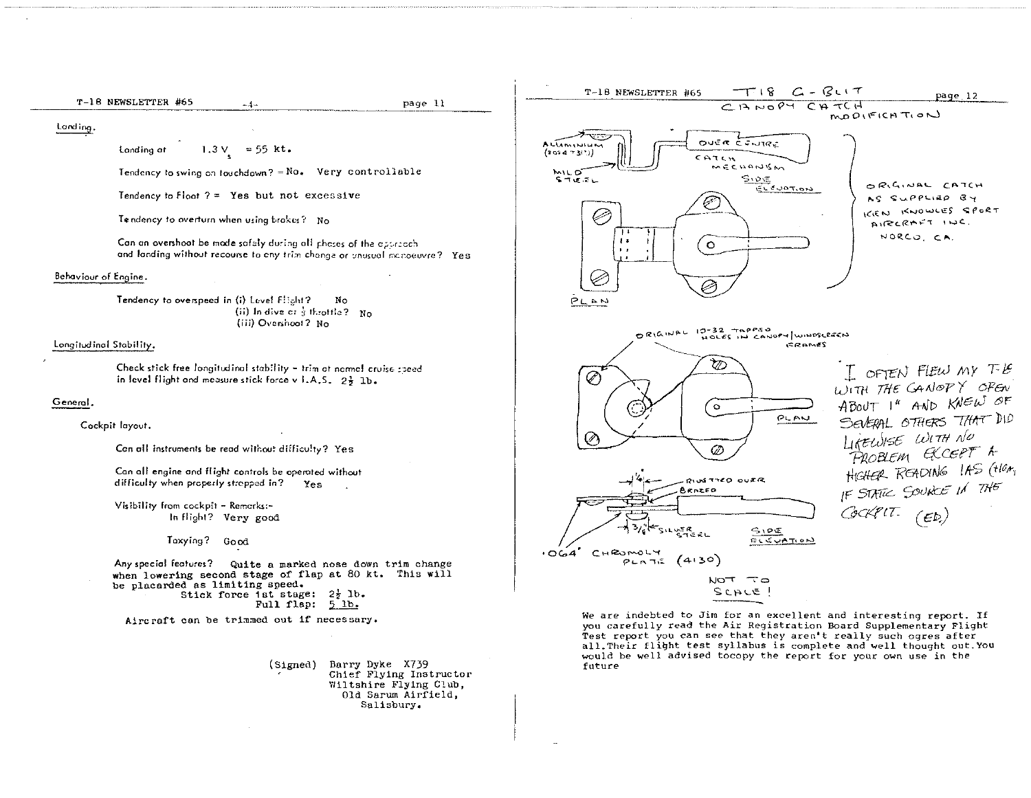#### T-18 NEWSLETTER #65  $T18$   $C - B1$ T-18 NEWSLETTER #65 page 11  $C$   $B$   $N9$  $R4$   $C$   $R7$  $-1$ Landing. OVER CENTRE A  $\overline{u}$ m Nium Landing at  $1.3 V = 55 kt.$  $(1014 - 11)$  $CATCM$ MECHANISM Tendency to swing on touchdown? =  $No.$  Very controllable MILO  $SovE$ ELEVATION Tendency to Float  $2 =$  Yes but not excessive Tendency to overturn when using brokes? No Can an overshoot be mode safely during all phases of the approach  $\cdot$   $\cdot$  $\circ$ and landing without recourse to any trim change or unusual manoeuvre? Yes Behaviour of Engine. Tendency to overspeed in (i) Lovel Flight? No  $PLAM$ (ii) In dive cr 3 throttle? No (iii) Overshoot? No. ORIGINAL 10-32 TAPPED Longitudinal Stability. ERAMES  $\varpi$ Check stick free longitudinal stability - trim at normal cruise speed Ø) in level flight and measure stick force v I.A.5. 23 Ib. General. စ PLAN Cockpit layout. Can all instruments be read without difficulty? Yes  $\oslash$ Can all engine and flight controls be operated without RIUSTTED OUTR difficulty when properly stropped in? Yes ACAZEO Visibility from cockpit - Remarks:-In flight? Very good  $S$   $P$ Taxying? Good **ELEVATION**  $.064$ CHROMOLY  $p_{LR}$  7.2  $(4130)$ Any special features? Quite a marked nose down trim change when lowering second stage of flap at 80 kt. This will  $NOT = CO$ be placarded as limiting speed.  $S$ CALE Stick force 1st stage:  $2\frac{1}{2}$  lb. Full flap: 5 lb. Aircraft can be trimmed out if necessary.

 $(s<sub>imed</sub>)$ 

Barry Dyke X739

Chief Flying Instructor Wiltshire Flying Club, 01d Sarum Airfield, Salisbury.

ORGINAL CATCH AS SUPPLIED BY ICEN KNOWLES SPORT AIRCRAFT INC.

page 12

NORCO, CA.

MODIFICATION

I OFTEN FLEW MY T-LE<br>WITH THE CANOPY OPEN ABOUT I" AND KNEW OF SENERAL OTHERS THAT DID LIKEWISE WITH NO PROBLEM EXCEPT A HIGHER READING IAS (tion, IF STATIC SOUKE IN THE COCKPUT- $(\epsilon_{\mathcal{D}})$ 

We are indebted to Jim for an excellent and interesting report. If you carefully read the Air Registration Board Supplementary Flight Test report you can see that they aren't really such oures after all. Their flight test syllabus is complete and well thought out. You would be well advised tocopy the report for your own use in the future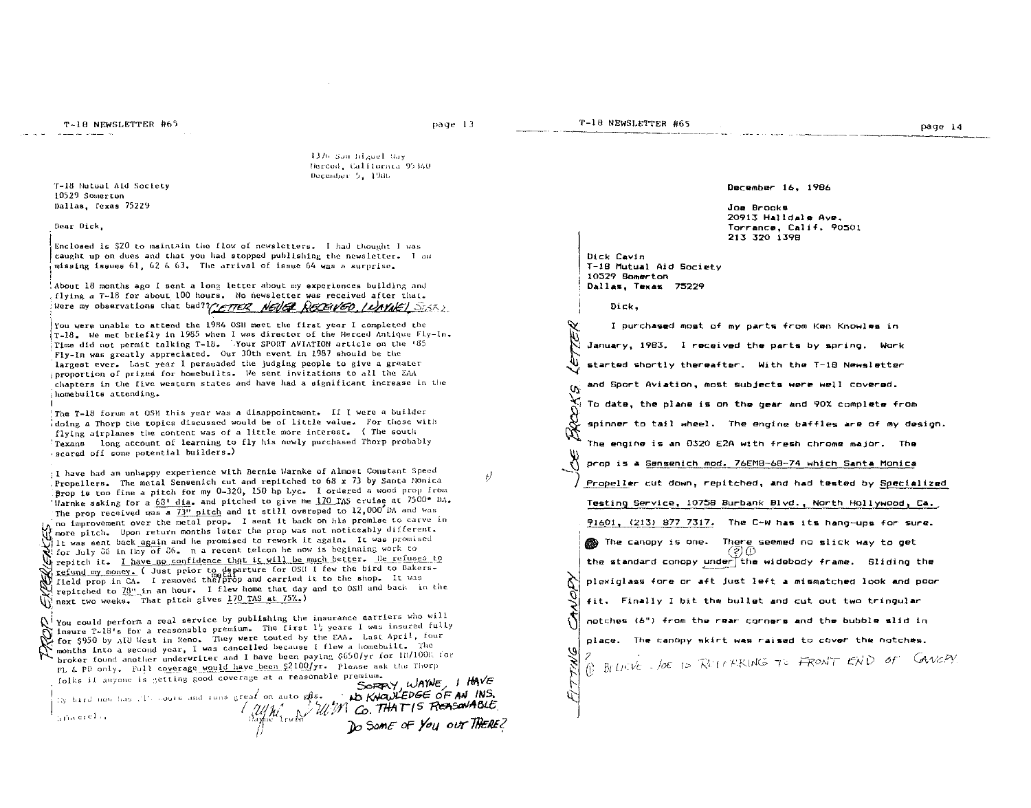T-18 NEWSLETTER #65

page 13

ŧ)

T-18 NEWSLETTER #65

page 14

1376 San Higuel Gay Nerced, California 95340 December 5, 1986

T-18 Hutual Ald Society 10529 Somerton Dallas, Fexas 75229

Dear Dick,

Enclosed is \$20 to maintain the flow of newsletters. I had thought I was caught up on dues and that you had stopped publishing the newsletter. I am missing issues 61, 62  $6.63$ . The arrival of issue 64 was a surprise.

About 18 months ago I sent a long letter about my experiences building and flying a T-18 for about 100 hours. No newsletter was received after that. Were my observations that bad??/ FITER NEVER RECEIVED (LAYAE) SER )

You were unable to attend the 1984 OSN meet the first year I completed the  $T-18$ . We met briefly in 1985 when I was director of the Merced Antique Fly-In. Time did not permit talking T-18. Your SPORT AVIATION article on the '85 Fly-In was greatly appreciated. Our 30th event in 1987 should be the largest ever. Last year I persuaded the judging people to give a greater proportion of prizes for homebuilts. We sent invitations to all the EAA chapters in the five western states and have had a significant increase in the homebuilts attending.

The T-18 forum at OSH this year was a disappointment. If I were a builder doing a Thorp the topics discussed would be of little value. For those with flying airplanes the content was of a little more interest. (The south Texans long account of learning to fly his newly purchased Thorp probably scared off some potential builders.)

I have had an unhappy experience with Bernie Warnke of Almost Constant Speed Propellers. The metal Sensenich cut and repitched to 68 x 73 by Santa Nonica Brop is too fine a pitch for my 0-320, 150 hp Lyc. I ordered a wood prop from Marnke asking for a 68' dia. and pitched to give me 170 TAS cruise at 7500\* DA. The prop received was a 73" pitch and it still oversped to 12,000 DA and was no improvement over the metal prop. I sent it back on his promise to carve in more pitch. Upon return months later the prop was not noticeably different. It was sent back again and he promised to rework it again. It was promised Si for July 36 in lay of 36. n a recent telcon he now is beginning work to U<sub>f</sub> repitch it. I have no confidence that it will be much better. He refuses to The fund my money. (Just prior to departure for OSH I few the bird to Bakers-<br>(field prop in CA. I removed the prop and carried it to the shop. It was repitched to 70" in an hour. I flew home that day and to OSH and back in the Thext two weeks. That pitch gives 170 TAS at 75%.)

 $\mathsf{R}^\dagger$  You could perform a real service by publishing the insurance aarriers who will Insure T-18's for a reasonable premium. The first  $1_2^1$  years I was insured fully for \$950 by AIU West in Reno. They were touted by the EAA. Last April, four months into a second year, I was cancelled because I flew a homebuilt. The broker found another underwriter and I have been paying 6650/yr for 10/1000 for

PL & PD only. Full coverage would have been \$2100/yr. Please ask the Thorp folks if anyone is getting good coverage at a reasonable premium.

Sorterly with the South of the Sorterly WANE 1 HAVE<br>Sorterly with the Sorterly WANE of AN INS.<br>Since CF AN INS. W. W. Co. THAT'S REASONABLE.

December 16, 1986

Joe Brooks 20913 Halldale Ave. Torrance, Calif. 90501 213 320 1398

Dick Cavin T-18 Mutual Aid Society 10529 Somerton Dallaz, Texas 75229

Dick,

I purchased most of my parts from Ken Knowles in January, 1983. I received the parts by spring, **Wark** started shortly thereafter. With the T-18 Newsletter and Sport Aviation, most subjects were well covered.  $\omega$ To date, the plane is on the gear and 90% complete from spinner to tail wheel. The engine baffles are of my design. The engine is an O320 E2A with fresh chrome major. The prop is a Sensenich mod. 76EM8-68-74 which Santa Monica Propeller cut down, repitched, and had tested by Specialized Testing Service, 10758 Burbank Blvd., North Hollywood, Ca. 91601, (213) 877 7317. The C-W has its hang-ups for sure. The canopy is one. There seemed no slick way to get the standard conopy under the widebody frame. Sliding the plexiglass fore or aft just left a mismatched look and poor fit. Finally I bit the bullet and cut out two tringular notches (6") from the rear corners and the bubble slid in place. The canopy skirt was raised to cover the notches. (BIFLIONE . LOE IS RECEVERING TO FRONT END OF GAVERY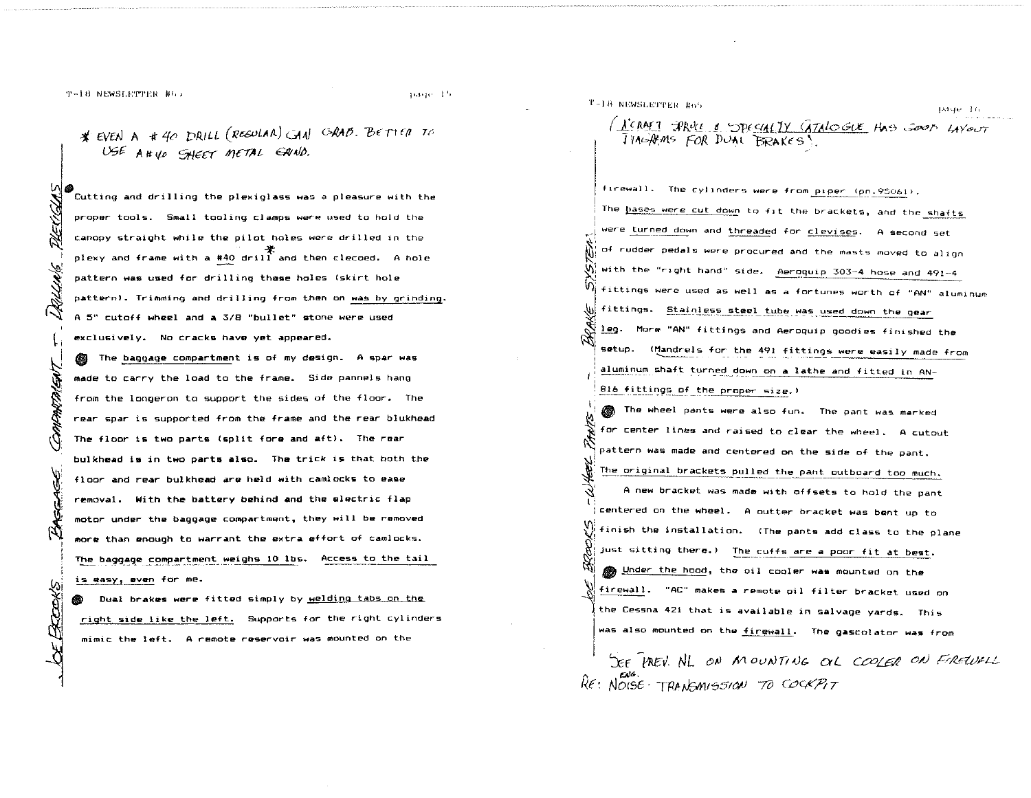T-18 NEWSLETTER #65

assay 15

# \* EVEN A #40 DRILL (RESULAR) CAN GRAB. BETTER TO USE A HILO SHEET METAL GRAD.

৸ Cutting and drilling the plexiolass was a pleasure with the proper tools. Small tooling clamps were used to hold the canopy straight while the pilot holes were drilled in the plexy and frame with a #40 drill and then clecoed. A hole pattern was used for drilling these holes (skirt hole pattern). Trimming and drilling from then on was by grinding A 5" cutoff wheel and a 3/8 "bullet" stone were used exclusively. No cracks have yet appeared.

The baggage compartment is of my design. A spar was made to carry the load to the frame. Side pannels hang from the longeron to support the sides of the floor. The rear spar is supported from the frame and the rear blukhead The floor is two parts (split fore and aft). The rear bulkhead is in two parts also. The trick is that both the floor and rear bulkhead are held with camingks to ease removal. With the battery behind and the electric flap motor under the baggage compartment, they will be removed more than enough to warrant the extra effort of camiocks. The baggage compartment weighs 10 lbs. Access to the tail is easy, even for me.

Dual brakes were fitted simply by welding tabs on the ♠ right side like the left. Supports for the right cylinders mimic the left. A remote reservoir was mounted on the

T-18 NEWSLETTER #65

page 16 (*KOMET TRULL 5 SPECIALTY GITALOGUE HAS GOOD LAYOUT* 

firewall. The cylinders were from piper (pn.95061).

The bases were cut down to fit the brackets, and the shafts were turned down and threaded for clevises. A second set of rudder pedals were procured and the masts moved to alion with the "right hand" side. Aeroquip 303-4 hose and 491-4 Ιñ fittings were used as well as a fortunes worth of "AN" aluminum fittings. Stainless steel tube was used down the gear leg. More "AN" fittings and Aeroquip goodies finished the setup. (Mandrels for the 491 fittings were easily made from aluminum shaft turned down on a lathe and fitted in AN-816 fittings of the proper size.) na The wheel pants were also fun. The pant was marked for center lines and raised to clear the wheel. A cutout pattern was made and centered on the side of the pant.

The original brackets pulled the pant outboard too much.

A new bracket was made with offsets to hold the pant centered on the wheel. A outter bracket was bent up to finish the installation. (The pants add class to the plane just sitting there.) The cuffs are a poor fit at best. So Under the hood, the oil cooler was mounted on the firewall. "AC" makes a remote oil filter bracket used on

the Cessna 421 that is available in salvage yards. This

was also mounted on the firewall. The gascolator was from

SEE PREV. NL ON MOUNTING OIL COOLER ON FREEWALL RE: NOISE TRANSMISSION TO COCKPIT

<u>'o'</u> CONFARTALEN **ROOKS**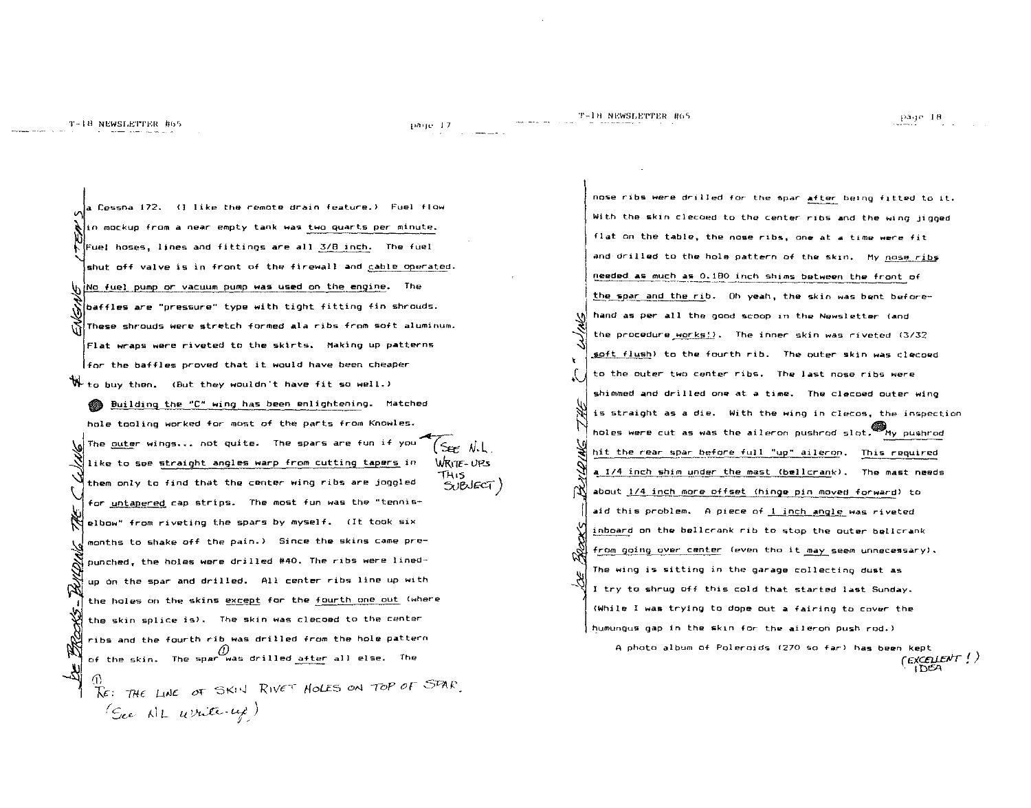$T-1$  H NEWSLETTER #65

a Cessna 172. (J like the remote drain feature.) Fuel flow in mockup from a near empty tank was two quarts per minute.  $F$ uel hoses, lines and fittings are all 3/8 inch. The fuel shut off valve is in front of the firewall and cable operated. Wo fuel pump or vacuum pump was used on the engine. The least of the last ine include. These shrouds were stretch formed ala ribs from soft aluminum. Flat wraps were riveted to the skirts. Making up patterns for the baffles proved that it would have been cheaper  $W$  to buy then. (But they wouldn't have fit so well.)

**Building the "C" wing has been enlightening.** Matched hole tooling worked for most of the parts from Knowles. The outer wings ... not quite. The spars are fun if you  $(\mathsf{Ser}~\mathcal{N}\mathsf{L})$ like to see straight angles warp from cutting tapers in  $\sqrt{R_1T}$ -UP. them only to find that the center wing ribs are joggled -0-1'HiS for untapered cap strips. The most fun was the "tenniselbow" from riveting the spars by myself. (It took siX months to shake off the pain.) Since the skins came prepunched, the holes were drilled \*40. The ribs were linedup on the spar and drilled. All center ribs line up with the holes on the skins except for the fourth one out (where the skin splice is). The skin was clecoed to the center ribs and the fourth rib was drilled from the hole pattern *(f)* of the skin. The spar was drilled af-ter all else. The (i) r;:", WE l..,.J£ 0'1 "5Kt 'J 1(11/6"'- /ioU5 ClN *-toP or* 5T11. f:.' (See AL urrite-eye)

needed as much as 0.180 inch shims between the front of the spar and the rib. Oh yeah, the skin was bent before-I and as per all the good scoop in the Newsletter (and  $\mathcal{L}^{\prime}$  $\sim$ nose ribs were drilled for the spar after being fitted to it. With the skin clecoed to the center ribs and the wing jigged flat on the table, the nose ribs, one at a time were fit and drilled to the hole pattern of the skin. My nose ribs the procedure works!). The inner skin was riveted  $(3/32)$ soft flush) to the fourth rib. The outer skin was clecoed to the outer two center ribs. The last nose ribs were shimmed and drilled one at a time. The clecoed outer wing is straight as a die. With the wing in clecos, the inspection holes were cut as was the aileron pushrod Slot.~MY pU\$hrod hit the rear spar before full "up" aileron. This required a 1/4 inch shim under the mast (bellcrank). The mast needs about 1/4 inch more offset (hinge pin moved forward) to aid this problem. A piece of 1 inch angle was riveted inboard on the bellcrank rib to stop the outer bellcrank from going over center (even tho it may seem unnecessary). The wing is sitting in the garage collecting dust as I try to shrug off this cold that started last Sunday. (While I was trying to dope out a fairing to cover the humungus gap in the skin for the aileron push rod.)

A photo album of Poleroids (270 so far) has been kept  $(\epsilon$ *xCELLENT*  $\langle \ \rangle$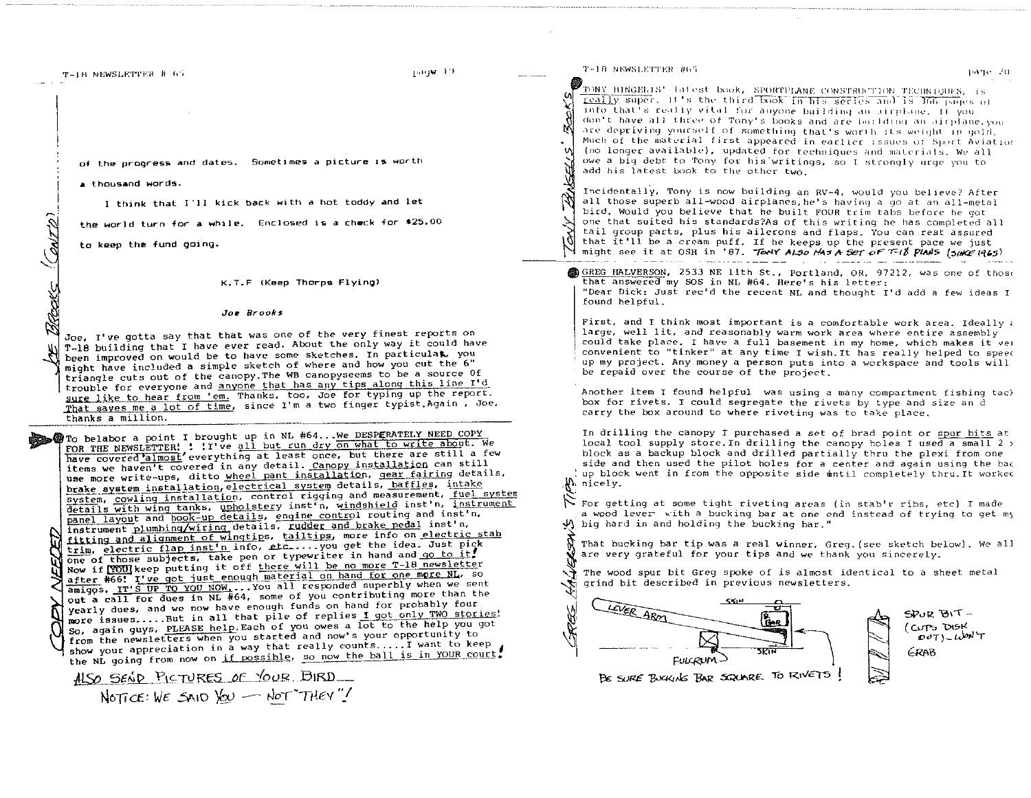of the progress and dates. Sometimes a picture is worth

 $\blacktriangle$  thousand words.

BROCKS (CONTD)

I think that I'll kick back with a hot toddy and let

the world turn for a while. Enclosed is a check for \$25.00

to keep the fund going.

K.T.F (Keep Thorps Flying)

### *JOII Brooks*

Joe, I've gatta say that that was one of the *very* finest reports on T-18 building that I have ever read. About the only way it could have been improved on would be to have some sketches. In particulat. you might have included a simple sketch of where and how you cut the 6" triangle cuts out of the canopy. The WB canopyseems to be a source Of trouble for everyone and anyone that has any tips along this line I'd sure like to hear from 'em. Thanks, too, Joe for typing up the report. That saves me a lot of time, since I'm a two finger typist.Again, Joe, thanks a million.

To belabor a point I brought up in NL #64... We DESPERATELY NEED COPY FOR THE NEWSLETTER! ! ! I've all but run dry on what to write about. We have covered almost' everything at least once, but there are still a few items we haven't covered in any detail. Canopy installation can still use more write-ups, ditto wheel pant installation, gear fairing details, brake system installation, electrical system details, baffles, intake system, cowling installation, control rigging and measurement, fuel system details with wing tanks, upholstery inst<sup>i</sup>n, windshield inst'n, instrument panel layout and hook-up details, engine control routing and inst'n, instrument plumbing/wiring details, rudder and brake pedal inst'n, fitting and alignment of wingtips, tailtips, more info on electric stab trim. electric flap inst'n info, etc..... you get the idea. Just pick one of those subjects, take pen or typewriter in hand and go to it! Now if WOU keep putting it off there will be no more T-18 newsletter after #66! I've got just enough material on hand for one more NL. so amigos. IT'S UP TO YOU NOW... You all responded superbly when we sent out a call for dues in NL #64. some of you contributing more than the yearly dues, and we now have enough funds on hand for probably four more issues..... But in all that pile of replies 1 got only TWO stories! So. again guys. PLEASE help. Each of you owes a lot to the help you got from the newsletters when you started and now's your opportunity to show your appreciation in a way that really counts.....I want to keep the NL going from now on if possible, so now the ball is in YOUR court;

ALSO SEND PICTURES OF YOUR BIRD  $NormC\in W$   $Sano$   $Xoy$  -  $NOT$   $THEY$   $'$ 

T-18 NEWSLETTER #65 (1999) 20 (1999) 20

TONY BINGELIS' latest book, SPORTPLANE CONSTRUCTION TECHNIQUES, Is really super. It's the third wok in his series and 1s 366 pages of info that's really vital for anyone building an airplane. If you don't have all three of Tony's books and are building an airplane, you are depriving yourself of something that's worth its weight in gold. Much of the material first appeared in earlier issues of Sport Aviation {no longer available}, updated for techniques and materials. We all w owe a big debt to Tony for his writings, so I strongly urge you to add his latest book to the other two.

Incidentally, Tony is now building an RV-4, would you believe? After<br>all those superball-wood airplanes, he's having a go at an all-metal<br>bird. Would you believe that the built FOUR trim tabs before he got<br>all one that sui Incidentally, Tony is now building an RV-4, would you believe? After all those superb all-wood airplanes, he's having a go at an all-metal bird. Would you believe that he built FOUR trim tabs before he got one that suited his standards?As of this writing he has completed all tail group parts, plus his ailerons and flaps. You can rest assured that it'll be a cream puff. If he keeps up the present pace we just might see it at OSH in '87. TONY ALSO HAS A SET OF T-18 PIANS (SINCE 1945)

GREG HALVERSON, 2533 NE lith St., Portland, OR, 97212, was one of those that answered my 50S in NL #64. Here's his letter: "Dear Dick: Just rec'd the recent NL and thought I'd add a few ideas I found helpfuL

First, and I think most important is a comfortable work area. Ideally <sup>i</sup> large, well lit, and reasonably warm work area where entire assembly could take place. I have a full basement in my home, which makes it vel convenient to "tinker" at any time I wish. It has really helped to spee( up my project. Any money a person puts into a workspace and tools will be repaid over the course of the project.

Another item I found helpful was using a many compartment fishing tac} box for rivets. I could segregate the rivets by type and size an d carry the box around to where riveting was to take place.

In drilling the canopy I purchased a set of brad point or spur bits at local tool supply store. In drilling the canopy holes I used a small  $2 \rightarrow$ block as a backup block and drilled partially thru the plexi from one side and then used the pilot holes for a center and again using the bac up block went in from the opposite side until completely thru. It worked ~: nicely.

For getting at some tight riveting areas (in stab'r ribs, etc) I made a wood lever with a bucking bar at one end instead of trying to get my  $\mathcal{Y}_1$  big hard in and holding the bucking bar."

That bucking bar tip was a real winner, Greg. (see sketch below). We all are very grateful for your tips and we thank you sincerely.

The wood spur bit Greg spoke of is almost identical to a sheet metal grind bit described in previous newsletters.

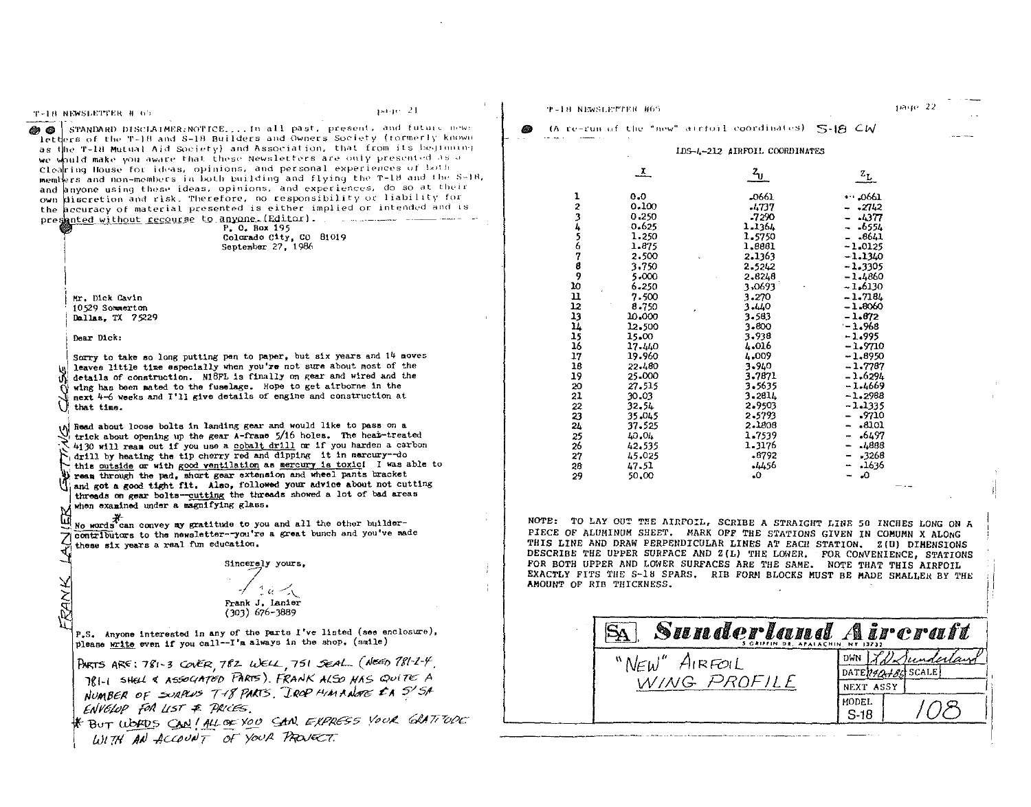$para$   $22$ T-18 NEWSLETTER #65  $14440 \cdot 21$ T-18 NEWSLETTER # 65 STANDARD DISCLAIMER:NOTICE.... In all past, present, and future news (A re-run of the "new" airfoil coordinates)  $S-1A$   $CW$ 48 letters of the T-18 and S-18 Builders and Owners Society (rormerly known as the T-18 Mutual Aid Society) and Association, that from its beginning IDS-4-212 AIRFOIL COORDINATES we would make you aware that these Newsletters are only presented as a Clearing House for ideas, opinions, and personal experiences of both  $\mathbf{r}$  $v^2$  $z_L$ members and non-members in both building and flying the T-18 and the S-18. and anyone using these ideas, opinions, and experiences, do so at their own discretion and risk. Therefore, no responsibility or liability for  $0.0$ -0661  $+0661$ the accuracy of material presented is either implied or intended and is  $0.100$  $.4737$  $-2742$ 0.250 presented without recourse to anyone (Editor).  $-7290$  $-1377$  $0.625$ 1.1364  $P_{1}$  O. Box 195 - -6554 Colorado City, CO 81019 1.250 1.5750 - .8641 September 27, 1986 1.875 1,8881  $-1.0125$ 2.500 2.1363  $-1.1340$ 3,750 2.5242  $-1.3305$ 5.000 2.8248  $-1.4860$  $10$ 6.250 3,0693  $-1.6130$  $\mathbf n$ Mr. Dick Cavin 7.500 3.270  $-1.7184$  $\mathbf{12}$ 10529 Sommerton 8.750  $3.440$  $-1.8060$ 13 Dallas, TX 75229 10.000 3.583  $-1.672$  $\overline{\mathbf{u}}$ 12.500 3.800  $-1.968$  $\overline{15}$ 15.00 3.938  $-1.995$ Dear Dick: 16 17.440 4.016  $-1.9710$ Sorry to take so long putting pen to paper, but six years and 14 moves 17 19.960 4.009  $-1.8950$ leaves little time especially when you're not sure about most of the  $16$ 22-480  $3.940$  $-1.7787$ details of construction. N18FL is finally on gear and wired and the 19 25.000 3.7871 - 1.6294 ហ wing has been mated to the fuselage. Hope to get airborne in the 20 27.515 3.5635  $-1.4669$ U next 4-6 weeks and I'll give details of engine and construction at 21 30.03 3-2814  $-1.2988$  $22\,$ 2.9503 that time. 32.54  $-1.1335$  $\frac{23}{24}$ 35,045 2.5793 - -9710 (A) Read about loose bolts in landing gear and would like to pass on a 37.525 2.1808  $.3101$ trick about opening up the gear A-frame 5/16 holes. The heat-treated  $\frac{25}{26}$ 1.7539 -6497  $40.01$ 4130 will ream out if you use a cobalt drill or if you harden a carbon 42.535 1.3176  $-4888$ drill by heating the tip cherry red and dipping it in mercury--do 27 45.025  $•8792$  $-3268$ this outside or with good ventilation as mercury is toxic! I was able to 28 47.51 -456  $\overline{\phantom{a}}$ -1636 ream through the pad, short gear extension and wheel pants bracket 29 50.00 ە- $\overline{\phantom{0}}$ -0 and got a good tight fit. Also, followed your advice about not cutting threads on gear bolts-cutting the threads showed a lot of bad areas when examined under a magnifying glass. No words can convey my gratitude to you and all the other builderш NOTE: TO LAY OUT THE AIRFOIL, SCRIBE A STRAIGHT LINE 50 INCHES LONG ON A contributors to the newsletter-you're a great bunch and you've made PIECE OF ALUMINUM SHEET. MARK OFF THE STATIONS GIVEN IN COMUMN X ALONG THIS LINE AND DRAW PERPENDICULAR LINES AT EACH STATION. Z(U) DIMENSIONS these six years a real fun education. DESCRIBE THE UPPER SURFACE AND Z(L) THE LOWER. FOR CONVENIENCE, STATIONS FOR BOTH UPPER AND LOWER SURFACES ARE THE SAME. NOTE THAT THIS AIRPOIL Sincerely yours. EXACTLY FITS THE S-18 SPARS. RIB FORM BLOCKS MUST BE MADE SMALLER BY THE AMOUNT OF RIB THICKNESS. ΧĎ Frank J. Lanier  $(303)$  676-3889 Sunderland Aireraft **SA** P.S. Anyone interested in any of the parts I've listed (see enclosure), please write even if you call--I'm always in the shop. (smile) DWN  $\mathcal{X} \mathcal{Y}$  Sunderlay "NFW" AIRFOIL PARTS ARE: 781-3 COVER, 782 WELL, 751 SEAL (NEED 781-2-4) DATE 74  $2 + 85$  SCALE TRI-I SHELL & ASSOCIATED FARTS). FRANK ALSO HAS QUITE A WING PROFILE NEXT ASSY NUMBER OF SURRUS T-18 PARTS. IROP HIM ANDRE IN 5'SA MODEL  $ENVEDP$  FOR LIST  $\neq$  PRICES.  $S-18$ # BUT WORDS CAN! ALL OF YOU CAN EXPRESS YOUR GRATITUDE WITH AN ACCOUNT OF YOUR PROJECT.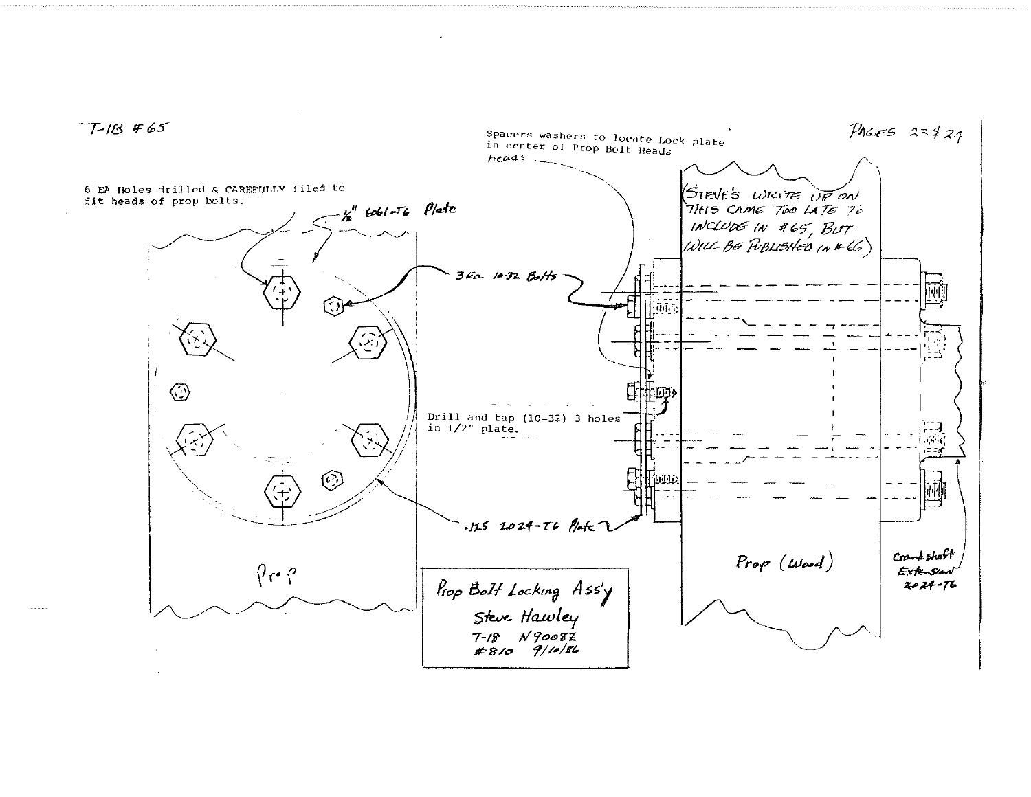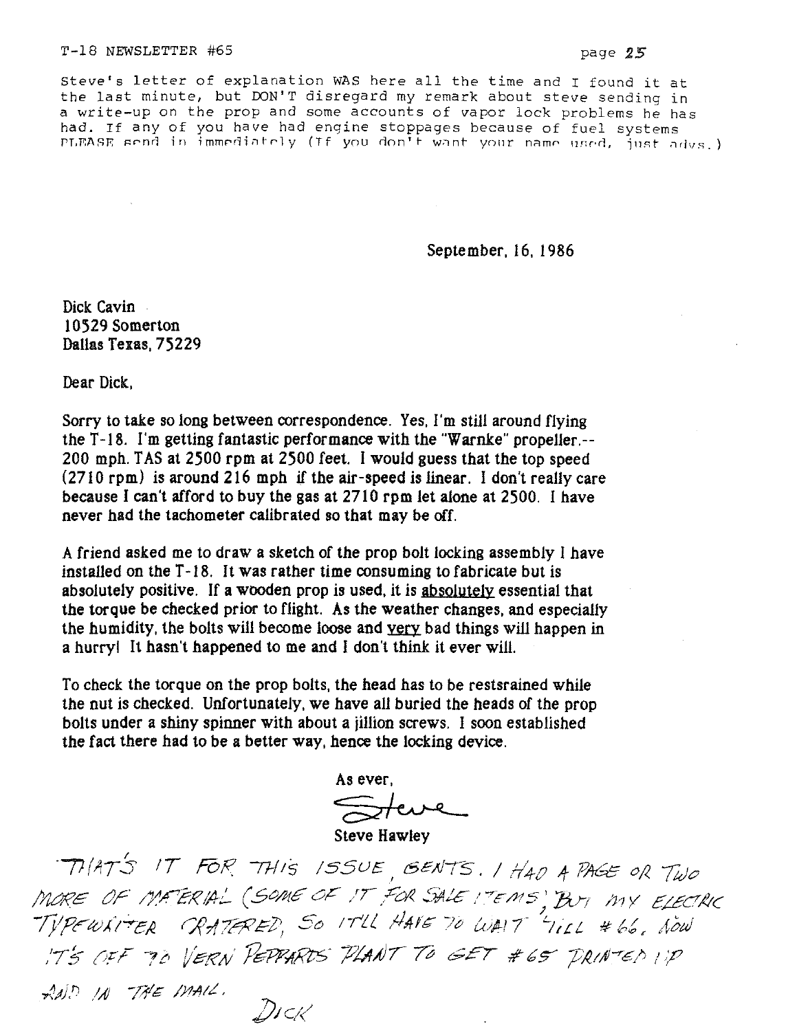Steve's *letter* of explanation WAS here all the time and I found it at the last minute, but DON'T disregard my remark about *steve* sending in a write-up on the prop and some accounts of vapor lock problems he has had. If any of you have had engine stoppages because of fuel systems PLEASE send in immediately (If you don't want your name used, just advs.)

September, 16, 1986

Dick Cavin . 10529 Somerton Dallas Texas, 75229

Dear Dick,

Sorry to take so long between correspondence. Yes, I'm still around flying the T -18. I'm getting fantastic performance with the "Warnke" propeller.-- 200 mph. T AS at 2500 rpm at 2500 feet. I would guess that the top speed (2710 rpm) is around 216 mph if the air-speed is linear. I don't really care because I can't afford to buy the gas at 2710 rpm let alone at 2500. I have never had the tachometer calibrated 80 that may be off.

A friend asked me to draw a sketch of the prop bolt locking assembly I have installed on the  $T-18$ . It was rather time consuming to fabricate but is absolutely positive. If a wooden prop is used, it is absolutely essential that the torque be checked prior to flight. As the weather changes, and especially the humidity, the bolts will become loose and very bad things will happen in a hurry! It hasn't happened to me and I don't think it ever will.

To check the torque on the prop bolts, the head has to be restsrained while the nut is checked. Unfortunately, we have all buried the heads of the prop bolts under a shiny spinner with about a jillion screws. I soon established the fact there had to be a better way, hence the locking device.

 $\bigoplus$ twe As ever, Steve Hawley

'/J(l;T3 IT FOP. *11-1/'5 /S5U E, 6E4/5.* / */f4-C* 1- f1l65: *0;2., iu)o /'/'w:JRG'* {Jr' /'/,ri?R #!..- (.so~c7 *or /T ".:CCif.* ~i41£ */"?'F* ft1 *S;* WI ))~ Y £,££crl!!c -;)/?rl()l(!~o. *r;f7l7&El',* S6 It'Ll. *IJA/G'* ~l,p UJ~!7 LilLi "f6t, *Aoa}*  ,'7'S OFF 70 VERN PEPPARTS PLANT TO GET # 65 DRINTED UP  $~$ AAID 1N THE IMAIL.

 $D$ ICK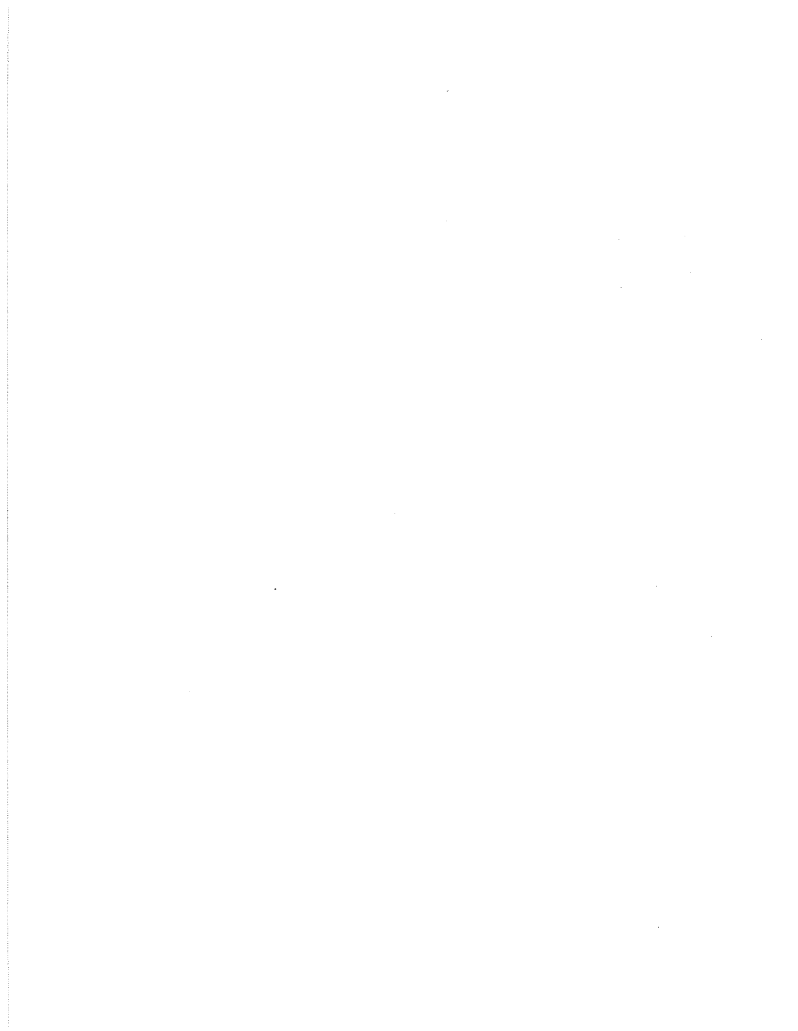$\label{eq:2.1} \frac{1}{\sqrt{2}}\int_{\mathbb{R}^3}\frac{1}{\sqrt{2}}\left(\frac{1}{\sqrt{2}}\right)^2\frac{1}{\sqrt{2}}\left(\frac{1}{\sqrt{2}}\right)^2\frac{1}{\sqrt{2}}\left(\frac{1}{\sqrt{2}}\right)^2\frac{1}{\sqrt{2}}\left(\frac{1}{\sqrt{2}}\right)^2.$  $\label{eq:2.1} \frac{1}{\sqrt{2}}\int_{\mathbb{R}^3}\frac{1}{\sqrt{2}}\left(\frac{1}{\sqrt{2}}\right)^2\frac{1}{\sqrt{2}}\left(\frac{1}{\sqrt{2}}\right)^2\frac{1}{\sqrt{2}}\left(\frac{1}{\sqrt{2}}\right)^2\frac{1}{\sqrt{2}}\left(\frac{1}{\sqrt{2}}\right)^2.$  $\label{eq:2.1} \mathcal{L}(\mathcal{L}^{\text{max}}_{\mathcal{L}}(\mathcal{L}^{\text{max}}_{\mathcal{L}}(\mathcal{L}^{\text{max}}_{\mathcal{L}}(\mathcal{L}^{\text{max}}_{\mathcal{L}})))$